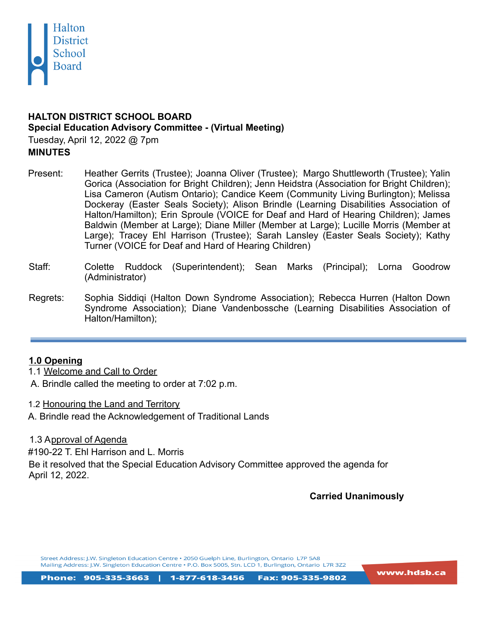

# **HALTON DISTRICT SCHOOL BOARD Special Education Advisory Committee - (Virtual Meeting)**

Tuesday, April 12, 2022 @ 7pm **MINUTES**

- Present: Heather Gerrits (Trustee); Joanna Oliver (Trustee); Margo Shuttleworth (Trustee); Yalin Gorica (Association for Bright Children); Jenn Heidstra (Association for Bright Children); Lisa Cameron (Autism Ontario); Candice Keem (Community Living Burlington); Melissa Dockeray (Easter Seals Society); Alison Brindle (Learning Disabilities Association of Halton/Hamilton); Erin Sproule (VOICE for Deaf and Hard of Hearing Children); James Baldwin (Member at Large); Diane Miller (Member at Large); Lucille Morris (Member at Large); Tracey Ehl Harrison (Trustee); Sarah Lansley (Easter Seals Society); Kathy Turner (VOICE for Deaf and Hard of Hearing Children)
- Staff: Colette Ruddock (Superintendent); Sean Marks (Principal); Lorna Goodrow (Administrator)
- Regrets: Sophia Siddiqi (Halton Down Syndrome Association); Rebecca Hurren (Halton Down Syndrome Association); Diane Vandenbossche (Learning Disabilities Association of Halton/Hamilton);

# **1.0 Opening**

1.1 Welcome and Call to Order

A. Brindle called the meeting to order at 7:02 p.m.

1.2 Honouring the Land and Territory

A. Brindle read the Acknowledgement of Traditional Lands

1.3 Approval of Agenda

#190-22 T. Ehl Harrison and L. Morris

Be it resolved that the Special Education Advisory Committee approved the agenda for April 12, 2022.

**Carried Unanimously**

Street Address: J.W. Singleton Education Centre . 2050 Guelph Line, Burlington, Ontario L7P 5A8 Mailing Address: J.W. Singleton Education Centre • P.O. Box 5005, Stn. LCD 1, Burlington, Ontario L7R 3Z2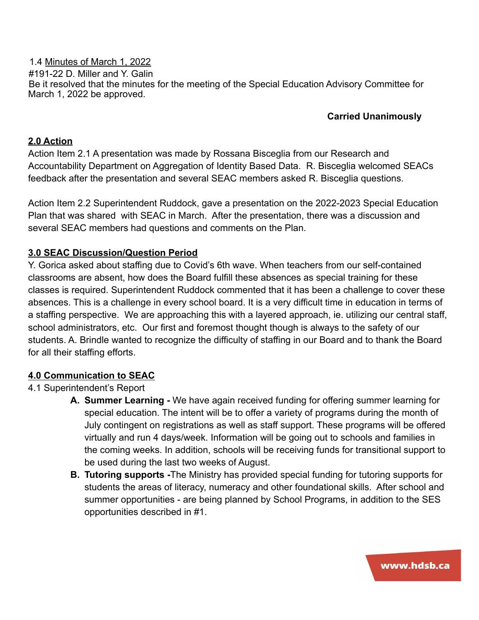1.4 Minutes of March 1, 2022 #191-22 D. Miller and Y. Galin Be it resolved that the minutes for the meeting of the Special Education Advisory Committee for March 1, 2022 be approved.

### **Carried Unanimously**

#### **2.0 Action**

Action Item 2.1 A presentation was made by Rossana Bisceglia from our Research and Accountability Department on Aggregation of Identity Based Data. R. Bisceglia welcomed SEACs feedback after the presentation and several SEAC members asked R. Bisceglia questions.

Action Item 2.2 Superintendent Ruddock, gave a presentation on the 2022-2023 Special Education Plan that was shared with SEAC in March. After the presentation, there was a discussion and several SEAC members had questions and comments on the Plan.

#### **3.0 SEAC Discussion/Question Period**

Y. Gorica asked about staffing due to Covid's 6th wave. When teachers from our self-contained classrooms are absent, how does the Board fulfill these absences as special training for these classes is required. Superintendent Ruddock commented that it has been a challenge to cover these absences. This is a challenge in every school board. It is a very difficult time in education in terms of a staffing perspective. We are approaching this with a layered approach, ie. utilizing our central staff, school administrators, etc. Our first and foremost thought though is always to the safety of our students. A. Brindle wanted to recognize the difficulty of staffing in our Board and to thank the Board for all their staffing efforts.

#### **4.0 Communication to SEAC**

#### 4.1 Superintendent's Report

- **A. Summer Learning -** We have again received funding for offering summer learning for special education. The intent will be to offer a variety of programs during the month of July contingent on registrations as well as staff support. These programs will be offered virtually and run 4 days/week. Information will be going out to schools and families in the coming weeks. In addition, schools will be receiving funds for transitional support to be used during the last two weeks of August.
- **B. Tutoring supports -**The Ministry has provided special funding for tutoring supports for students the areas of literacy, numeracy and other foundational skills. After school and summer opportunities - are being planned by School Programs, in addition to the SES opportunities described in #1.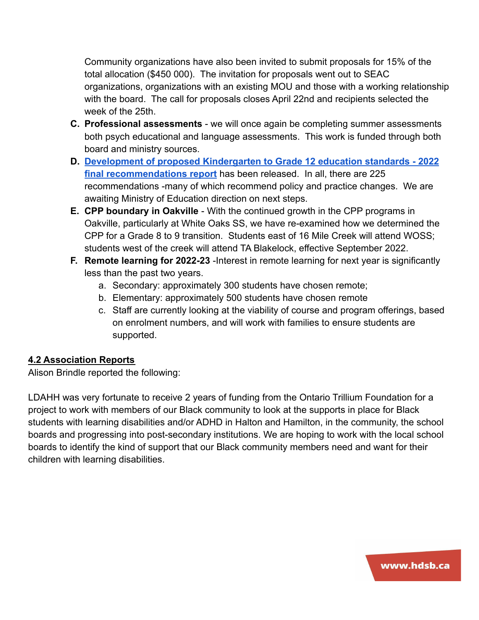Community organizations have also been invited to submit proposals for 15% of the total allocation (\$450 000). The invitation for proposals went out to SEAC organizations, organizations with an existing MOU and those with a working relationship with the board. The call for proposals closes April 22nd and recipients selected the week of the 25th.

- **C. Professional assessments** we will once again be completing summer assessments both psych educational and language assessments. This work is funded through both board and ministry sources.
- **D. [Development of proposed Kindergarten to Grade 12 education standards 2022](https://www.ontario.ca/document/development-proposed-kindergarten-grade-12-k-12-education-standards-2022-final-recommendations) [final recommendations report](https://www.ontario.ca/document/development-proposed-kindergarten-grade-12-k-12-education-standards-2022-final-recommendations)** has been released. In all, there are 225 recommendations -many of which recommend policy and practice changes. We are awaiting Ministry of Education direction on next steps.
- **E. CPP boundary in Oakville** With the continued growth in the CPP programs in Oakville, particularly at White Oaks SS, we have re-examined how we determined the CPP for a Grade 8 to 9 transition. Students east of 16 Mile Creek will attend WOSS; students west of the creek will attend TA Blakelock, effective September 2022.
- **F. Remote learning for 2022-23** -Interest in remote learning for next year is significantly less than the past two years.
	- a. Secondary: approximately 300 students have chosen remote;
	- b. Elementary: approximately 500 students have chosen remote
	- c. Staff are currently looking at the viability of course and program offerings, based on enrolment numbers, and will work with families to ensure students are supported.

# **4.2 Association Reports**

Alison Brindle reported the following:

LDAHH was very fortunate to receive 2 years of funding from the Ontario Trillium Foundation for a project to work with members of our Black community to look at the supports in place for Black students with learning disabilities and/or ADHD in Halton and Hamilton, in the community, the school boards and progressing into post-secondary institutions. We are hoping to work with the local school boards to identify the kind of support that our Black community members need and want for their children with learning disabilities.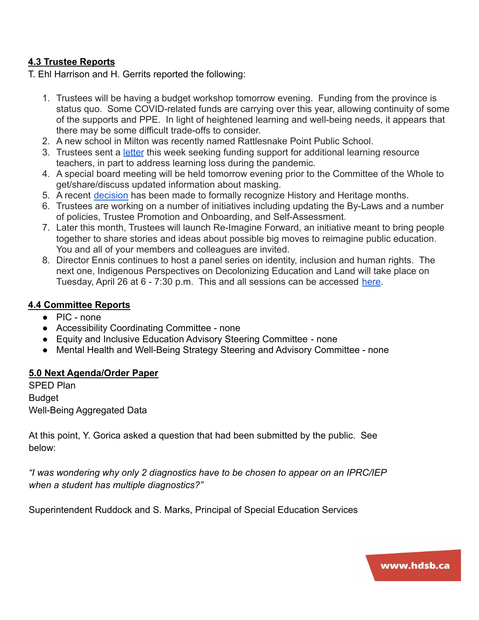### **4.3 Trustee Reports**

T. Ehl Harrison and H. Gerrits reported the following:

- 1. Trustees will be having a budget workshop tomorrow evening. Funding from the province is status quo. Some COVID-related funds are carrying over this year, allowing continuity of some of the supports and PPE. In light of heightened learning and well-being needs, it appears that there may be some difficult trade-offs to consider.
- 2. A new school in Milton was recently named Rattlesnake Point Public School.
- 3. Trustees sent a [letter](https://drive.google.com/file/d/1GS0TpEECLD5O53ttgAW4-uBkWKE9BAzI/view) this week seeking funding support for additional learning resource teachers, in part to address learning loss during the pandemic.
- 4. A special board meeting will be held tomorrow evening prior to the Committee of the Whole to get/share/discuss updated information about masking.
- 5. A recent [decision](https://drive.google.com/file/d/1hCA5IIr-VVIrIBj7ZB4_YO6U9wsZSf61/view) has been made to formally recognize History and Heritage months.
- 6. Trustees are working on a number of initiatives including updating the By-Laws and a number of policies, Trustee Promotion and Onboarding, and Self-Assessment.
- 7. Later this month, Trustees will launch Re-Imagine Forward, an initiative meant to bring people together to share stories and ideas about possible big moves to reimagine public education. You and all of your members and colleagues are invited.
- 8. Director Ennis continues to host a panel series on identity, inclusion and human rights. The next one, Indigenous Perspectives on Decolonizing Education and Land will take place on Tuesday, April 26 at 6 - 7:30 p.m. This and all sessions can be accessed [here.](https://hdsb.ca/our-board/Pages/Human%20Rights%20%26%20Equity/Directors-Panel-Series-Identity-Inclusion-Human-Rights.aspx)

### **4.4 Committee Reports**

- PIC none
- Accessibility Coordinating Committee none
- Equity and Inclusive Education Advisory Steering Committee none
- Mental Health and Well-Being Strategy Steering and Advisory Committee none

### **5.0 Next Agenda/Order Paper**

SPED Plan Budget Well-Being Aggregated Data

At this point, Y. Gorica asked a question that had been submitted by the public. See below:

*"I was wondering why only 2 diagnostics have to be chosen to appear on an IPRC/IEP when a student has multiple diagnostics?"*

Superintendent Ruddock and S. Marks, Principal of Special Education Services